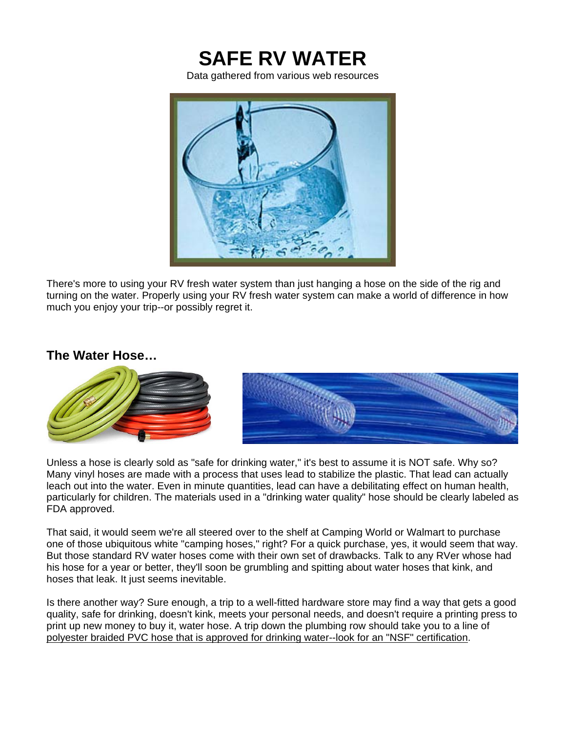

Data gathered from various web resources



There's more to using your RV fresh water system than just hanging a hose on the side of the rig and turning on the water. Properly using your RV fresh water system can make a world of difference in how much you enjoy your trip--or possibly regret it.

## **The Water Hose…**



Unless a hose is clearly sold as "safe for drinking water," it's best to assume it is NOT safe. Why so? Many vinyl hoses are made with a process that uses lead to stabilize the plastic. That lead can actually leach out into the water. Even in minute quantities, lead can have a debilitating effect on human health, particularly for children. The materials used in a "drinking water quality" hose should be clearly labeled as FDA approved.

That said, it would seem we're all steered over to the shelf at Camping World or Walmart to purchase one of those ubiquitous white "camping hoses," right? For a quick purchase, yes, it would seem that way. But those standard RV water hoses come with their own set of drawbacks. Talk to any RVer whose had his hose for a year or better, they'll soon be grumbling and spitting about water hoses that kink, and hoses that leak. It just seems inevitable.

Is there another way? Sure enough, a trip to a well-fitted hardware store may find a way that gets a good quality, safe for drinking, doesn't kink, meets your personal needs, and doesn't require a printing press to print up new money to buy it, water hose. A trip down the plumbing row should take you to a line of polyester braided PVC hose that is approved for drinking water--look for an "NSF" certification.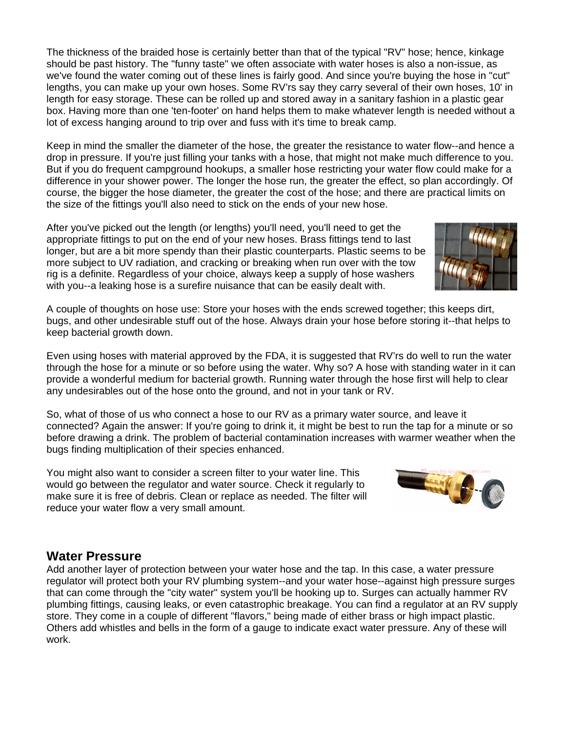The thickness of the braided hose is certainly better than that of the typical "RV" hose; hence, kinkage should be past history. The "funny taste" we often associate with water hoses is also a non-issue, as we've found the water coming out of these lines is fairly good. And since you're buying the hose in "cut" lengths, you can make up your own hoses. Some RV'rs say they carry several of their own hoses, 10' in length for easy storage. These can be rolled up and stored away in a sanitary fashion in a plastic gear box. Having more than one 'ten-footer' on hand helps them to make whatever length is needed without a lot of excess hanging around to trip over and fuss with it's time to break camp.

Keep in mind the smaller the diameter of the hose, the greater the resistance to water flow--and hence a drop in pressure. If you're just filling your tanks with a hose, that might not make much difference to you. But if you do frequent campground hookups, a smaller hose restricting your water flow could make for a difference in your shower power. The longer the hose run, the greater the effect, so plan accordingly. Of course, the bigger the hose diameter, the greater the cost of the hose; and there are practical limits on the size of the fittings you'll also need to stick on the ends of your new hose.

After you've picked out the length (or lengths) you'll need, you'll need to get the appropriate fittings to put on the end of your new hoses. Brass fittings tend to last longer, but are a bit more spendy than their plastic counterparts. Plastic seems to be more subject to UV radiation, and cracking or breaking when run over with the tow rig is a definite. Regardless of your choice, always keep a supply of hose washers with you--a leaking hose is a surefire nuisance that can be easily dealt with.

A couple of thoughts on hose use: Store your hoses with the ends screwed together; this keeps dirt, bugs, and other undesirable stuff out of the hose. Always drain your hose before storing it--that helps to keep bacterial growth down.

Even using hoses with material approved by the FDA, it is suggested that RV'rs do well to run the water through the hose for a minute or so before using the water. Why so? A hose with standing water in it can provide a wonderful medium for bacterial growth. Running water through the hose first will help to clear any undesirables out of the hose onto the ground, and not in your tank or RV.

So, what of those of us who connect a hose to our RV as a primary water source, and leave it connected? Again the answer: If you're going to drink it, it might be best to run the tap for a minute or so before drawing a drink. The problem of bacterial contamination increases with warmer weather when the bugs finding multiplication of their species enhanced.

You might also want to consider a screen filter to your water line. This would go between the regulator and water source. Check it regularly to make sure it is free of debris. Clean or replace as needed. The filter will reduce your water flow a very small amount.

## **Water Pressure**

Add another layer of protection between your water hose and the tap. In this case, a water pressure regulator will protect both your RV plumbing system--and your water hose--against high pressure surges that can come through the "city water" system you'll be hooking up to. Surges can actually hammer RV plumbing fittings, causing leaks, or even catastrophic breakage. You can find a regulator at an RV supply store. They come in a couple of different "flavors," being made of either brass or high impact plastic. Others add whistles and bells in the form of a gauge to indicate exact water pressure. Any of these will work.



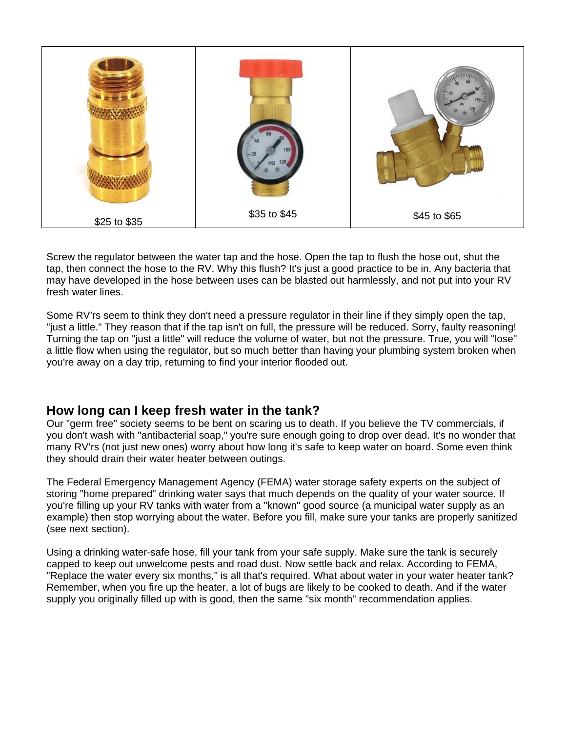

Screw the regulator between the water tap and the hose. Open the tap to flush the hose out, shut the tap, then connect the hose to the RV. Why this flush? It's just a good practice to be in. Any bacteria that may have developed in the hose between uses can be blasted out harmlessly, and not put into your RV fresh water lines.

Some RV'rs seem to think they don't need a pressure regulator in their line if they simply open the tap, "just a little." They reason that if the tap isn't on full, the pressure will be reduced. Sorry, faulty reasoning! Turning the tap on "just a little" will reduce the volume of water, but not the pressure. True, you will "lose" a little flow when using the regulator, but so much better than having your plumbing system broken when you're away on a day trip, returning to find your interior flooded out.

## **How long can I keep fresh water in the tank?**

Our "germ free" society seems to be bent on scaring us to death. If you believe the TV commercials, if you don't wash with "antibacterial soap," you're sure enough going to drop over dead. It's no wonder that many RV'rs (not just new ones) worry about how long it's safe to keep water on board. Some even think they should drain their water heater between outings.

The Federal Emergency Management Agency (FEMA) water storage safety experts on the subject of storing "home prepared" drinking water says that much depends on the quality of your water source. If you're filling up your RV tanks with water from a "known" good source (a municipal water supply as an example) then stop worrying about the water. Before you fill, make sure your tanks are properly sanitized (see next section).

Using a drinking water-safe hose, fill your tank from your safe supply. Make sure the tank is securely capped to keep out unwelcome pests and road dust. Now settle back and relax. According to FEMA, "Replace the water every six months," is all that's required. What about water in your water heater tank? Remember, when you fire up the heater, a lot of bugs are likely to be cooked to death. And if the water supply you originally filled up with is good, then the same "six month" recommendation applies.